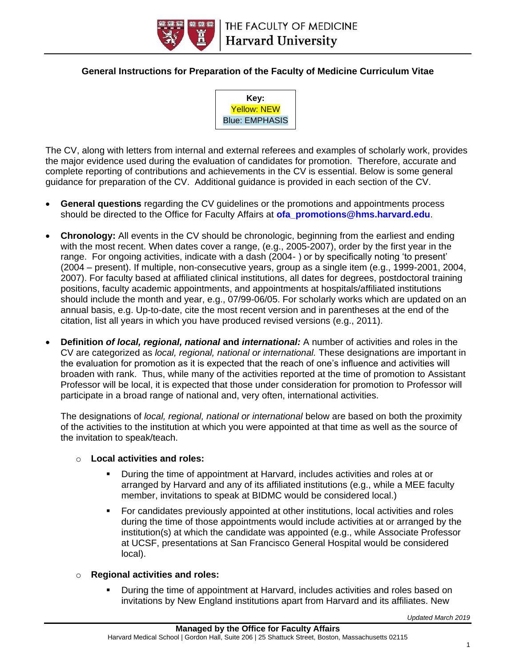

# **General Instructions for Preparation of the Faculty of Medicine Curriculum Vitae**

**Key:** Yellow: NEW Blue: EMPHASIS

The CV, along with letters from internal and external referees and examples of scholarly work, provides the major evidence used during the evaluation of candidates for promotion. Therefore, accurate and complete reporting of contributions and achievements in the CV is essential. Below is some general guidance for preparation of the CV. Additional guidance is provided in each section of the CV.

- **General questions** regarding the CV guidelines or the promotions and appointments process should be directed to the Office for Faculty Affairs at **[ofa\\_promotions@hms.harvard.edu](mailto:ofa_promotions@hms.harvard.edu)**.
- **Chronology:** All events in the CV should be chronologic, beginning from the earliest and ending with the most recent. When dates cover a range, (e.g., 2005-2007), order by the first year in the range. For ongoing activities, indicate with a dash (2004- ) or by specifically noting 'to present' (2004 – present). If multiple, non-consecutive years, group as a single item (e.g., 1999-2001, 2004, 2007). For faculty based at affiliated clinical institutions, all dates for degrees, postdoctoral training positions, faculty academic appointments, and appointments at hospitals/affiliated institutions should include the month and year, e.g., 07/99-06/05. For scholarly works which are updated on an annual basis, e.g. Up-to-date, cite the most recent version and in parentheses at the end of the citation, list all years in which you have produced revised versions (e.g., 2011).
- **Definition** *of local, regional, national* **and** *international:* A number of activities and roles in the CV are categorized as *local, regional, national or international.* These designations are important in the evaluation for promotion as it is expected that the reach of one's influence and activities will broaden with rank. Thus, while many of the activities reported at the time of promotion to Assistant Professor will be local, it is expected that those under consideration for promotion to Professor will participate in a broad range of national and, very often, international activities.

The designations of *local, regional, national or international* below are based on both the proximity of the activities to the institution at which you were appointed at that time as well as the source of the invitation to speak/teach.

- o **Local activities and roles:** 
	- During the time of appointment at Harvard, includes activities and roles at or arranged by Harvard and any of its affiliated institutions (e.g., while a MEE faculty member, invitations to speak at BIDMC would be considered local.)
	- For candidates previously appointed at other institutions, local activities and roles during the time of those appointments would include activities at or arranged by the institution(s) at which the candidate was appointed (e.g., while Associate Professor at UCSF, presentations at San Francisco General Hospital would be considered local).

## o **Regional activities and roles:**

 During the time of appointment at Harvard, includes activities and roles based on invitations by New England institutions apart from Harvard and its affiliates. New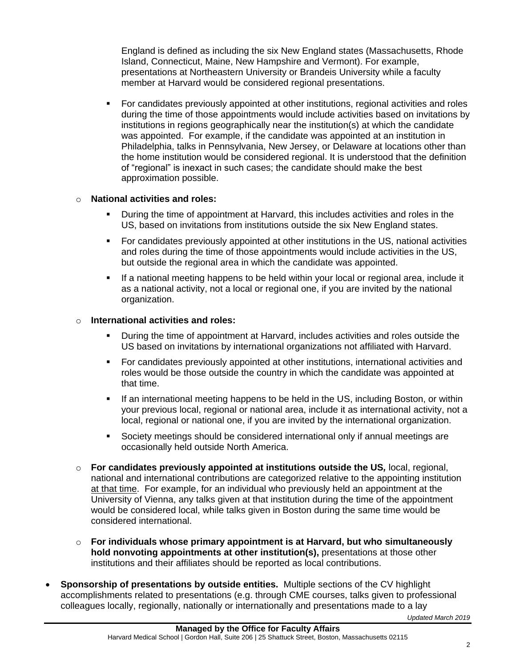England is defined as including the six New England states (Massachusetts, Rhode Island, Connecticut, Maine, New Hampshire and Vermont). For example, presentations at Northeastern University or Brandeis University while a faculty member at Harvard would be considered regional presentations.

 For candidates previously appointed at other institutions, regional activities and roles during the time of those appointments would include activities based on invitations by institutions in regions geographically near the institution(s) at which the candidate was appointed. For example, if the candidate was appointed at an institution in Philadelphia, talks in Pennsylvania, New Jersey, or Delaware at locations other than the home institution would be considered regional. It is understood that the definition of "regional" is inexact in such cases; the candidate should make the best approximation possible.

## o **National activities and roles:**

- During the time of appointment at Harvard, this includes activities and roles in the US, based on invitations from institutions outside the six New England states.
- For candidates previously appointed at other institutions in the US, national activities and roles during the time of those appointments would include activities in the US, but outside the regional area in which the candidate was appointed.
- If a national meeting happens to be held within your local or regional area, include it as a national activity, not a local or regional one, if you are invited by the national organization.

### o **International activities and roles:**

- During the time of appointment at Harvard, includes activities and roles outside the US based on invitations by international organizations not affiliated with Harvard.
- For candidates previously appointed at other institutions, international activities and roles would be those outside the country in which the candidate was appointed at that time.
- If an international meeting happens to be held in the US, including Boston, or within your previous local, regional or national area, include it as international activity, not a local, regional or national one, if you are invited by the international organization.
- Society meetings should be considered international only if annual meetings are occasionally held outside North America.
- o **For candidates previously appointed at institutions outside the US***,* local, regional, national and international contributions are categorized relative to the appointing institution at that time. For example, for an individual who previously held an appointment at the University of Vienna, any talks given at that institution during the time of the appointment would be considered local, while talks given in Boston during the same time would be considered international.
- o **For individuals whose primary appointment is at Harvard, but who simultaneously hold nonvoting appointments at other institution(s),** presentations at those other institutions and their affiliates should be reported as local contributions.
- **Sponsorship of presentations by outside entities.** Multiple sections of the CV highlight accomplishments related to presentations (e.g. through CME courses, talks given to professional colleagues locally, regionally, nationally or internationally and presentations made to a lay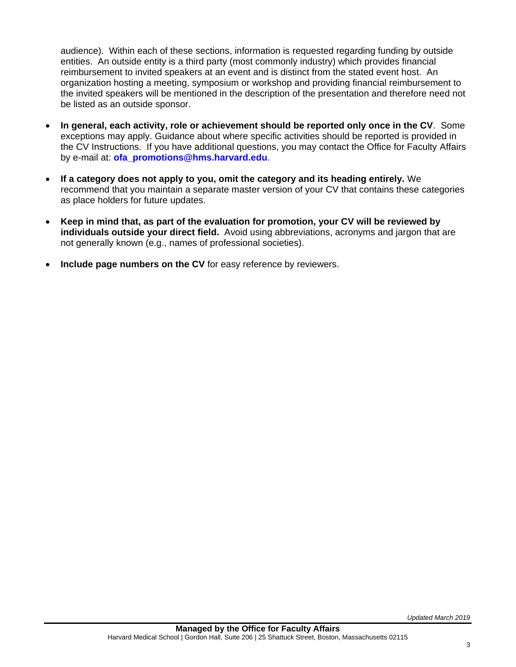audience). Within each of these sections, information is requested regarding funding by outside entities. An outside entity is a third party (most commonly industry) which provides financial reimbursement to invited speakers at an event and is distinct from the stated event host. An organization hosting a meeting, symposium or workshop and providing financial reimbursement to the invited speakers will be mentioned in the description of the presentation and therefore need not be listed as an outside sponsor.

- **In general, each activity, role or achievement should be reported only once in the CV**.Some exceptions may apply. Guidance about where specific activities should be reported is provided in the CV Instructions. If you have additional questions, you may contact the Office for Faculty Affairs by e-mail at: **[ofa\\_promotions@hms.harvard.edu](mailto:ofa_promotions@hms.harvard.edu)**.
- **If a category does not apply to you, omit the category and its heading entirely.** We recommend that you maintain a separate master version of your CV that contains these categories as place holders for future updates.
- **Keep in mind that, as part of the evaluation for promotion, your CV will be reviewed by individuals outside your direct field.** Avoid using abbreviations, acronyms and jargon that are not generally known (e.g., names of professional societies).
- **Include page numbers on the CV** for easy reference by reviewers.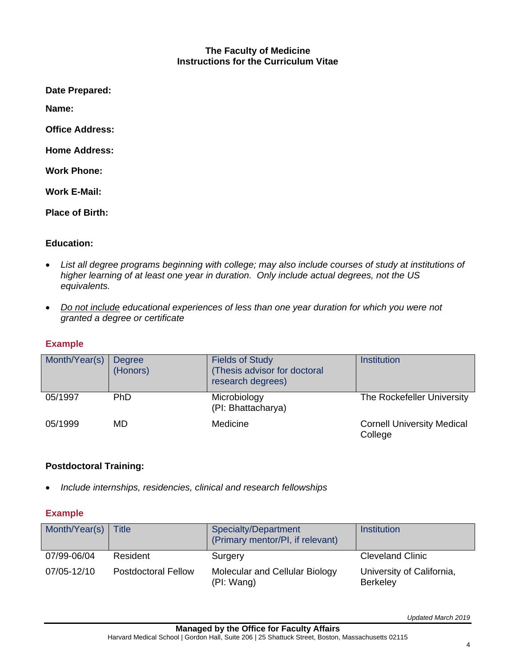## **The Faculty of Medicine Instructions for the Curriculum Vitae**

**Date Prepared:**

**Name:**

**Office Address:**

**Home Address:**

**Work Phone:** 

**Work E-Mail:** 

**Place of Birth:**

## **Education:**

- *List all degree programs beginning with college; may also include courses of study at institutions of higher learning of at least one year in duration. Only include actual degrees, not the US equivalents.*
- *Do not include educational experiences of less than one year duration for which you were not granted a degree or certificate*

## **Example**

| Month/Year(s) | <b>Degree</b><br>(Honors) | <b>Fields of Study</b><br>(Thesis advisor for doctoral<br>research degrees) | <b>Institution</b>                           |
|---------------|---------------------------|-----------------------------------------------------------------------------|----------------------------------------------|
| 05/1997       | <b>PhD</b>                | Microbiology<br>(PI: Bhattacharya)                                          | The Rockefeller University                   |
| 05/1999       | MD.                       | Medicine                                                                    | <b>Cornell University Medical</b><br>College |

## **Postdoctoral Training:**

*Include internships, residencies, clinical and research fellowships* 

| Month/Year(s) | <b>Title</b>               | Specialty/Department<br>(Primary mentor/PI, if relevant) | Institution                                  |
|---------------|----------------------------|----------------------------------------------------------|----------------------------------------------|
| 07/99-06/04   | Resident                   | Surgery                                                  | <b>Cleveland Clinic</b>                      |
| 07/05-12/10   | <b>Postdoctoral Fellow</b> | Molecular and Cellular Biology<br>(PI: Wang)             | University of California,<br><b>Berkeley</b> |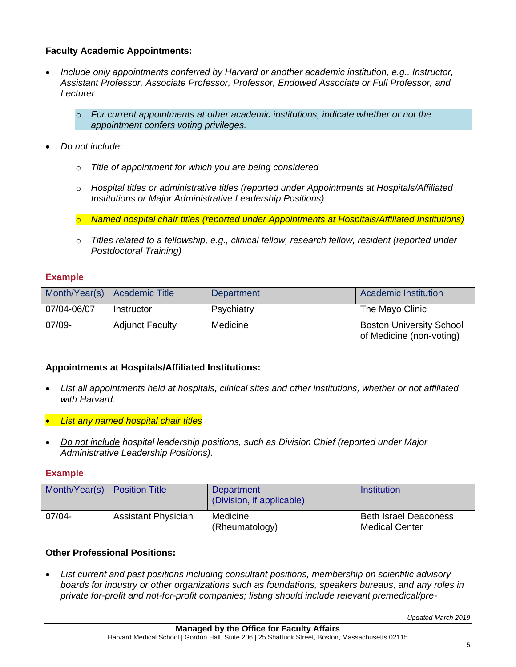## **Faculty Academic Appointments:**

- *Include only appointments conferred by Harvard or another academic institution, e.g., Instructor, Assistant Professor, Associate Professor, Professor, Endowed Associate or Full Professor, and Lecturer* 
	- o *For current appointments at other academic institutions, indicate whether or not the appointment confers voting privileges.*
- *Do not include:*
	- o *Title of appointment for which you are being considered*
	- o *Hospital titles or administrative titles (reported under Appointments at Hospitals/Affiliated Institutions or Major Administrative Leadership Positions)*
	- o *Named hospital chair titles (reported under Appointments at Hospitals/Affiliated Institutions)*
	- o *Titles related to a fellowship, e.g., clinical fellow, research fellow, resident (reported under Postdoctoral Training)*

## **Example**

| Month/Year(s) $\parallel$ | <b>Academic Title</b>  | Department | <b>Academic Institution</b>                                 |
|---------------------------|------------------------|------------|-------------------------------------------------------------|
| 07/04-06/07               | Instructor             | Psychiatry | The Mayo Clinic                                             |
| $07/09 -$                 | <b>Adjunct Faculty</b> | Medicine   | <b>Boston University School</b><br>of Medicine (non-voting) |

## **Appointments at Hospitals/Affiliated Institutions:**

- *List all appointments held at hospitals, clinical sites and other institutions, whether or not affiliated with Harvard.*
- *List any named hospital chair titles*
- *Do not include hospital leadership positions, such as Division Chief (reported under Major Administrative Leadership Positions).*

## **Example**

| Month/Year(s) | <b>Position Title</b>      | Department<br>(Division, if applicable) | Institution                                    |
|---------------|----------------------------|-----------------------------------------|------------------------------------------------|
| $07/04 -$     | <b>Assistant Physician</b> | Medicine<br>(Rheumatology)              | Beth Israel Deaconess<br><b>Medical Center</b> |

## **Other Professional Positions:**

 *List current and past positions including consultant positions, membership on scientific advisory boards for industry or other organizations such as foundations, speakers bureaus, and any roles in private for-profit and not-for-profit companies; listing should include relevant premedical/pre-*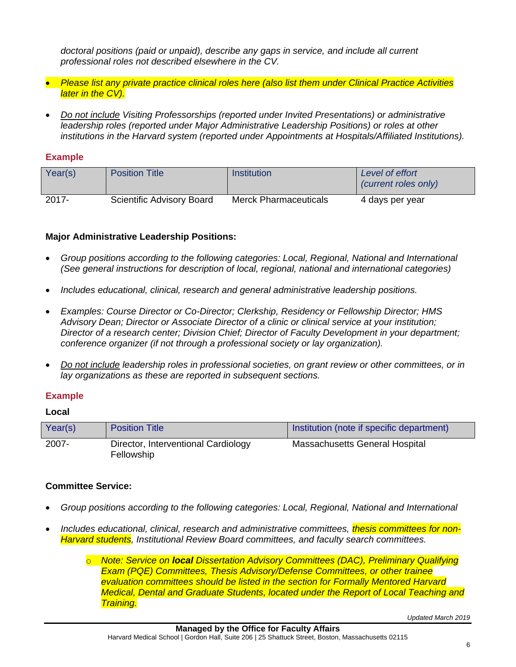*doctoral positions (paid or unpaid), describe any gaps in service, and include all current professional roles not described elsewhere in the CV.*

- *Please list any private practice clinical roles here (also list them under Clinical Practice Activities later in the CV).*
- *Do not include Visiting Professorships (reported under Invited Presentations) or administrative leadership roles (reported under Major Administrative Leadership Positions) or roles at other institutions in the Harvard system (reported under Appointments at Hospitals/Affiliated Institutions).*

### **Example**

| Year(s)  | <b>Position Title</b>     | Institution           | Level of effort<br>(current roles only) |
|----------|---------------------------|-----------------------|-----------------------------------------|
| $2017 -$ | Scientific Advisory Board | Merck Pharmaceuticals | 4 days per year                         |

## **Major Administrative Leadership Positions:**

- *Group positions according to the following categories: Local, Regional, National and International (See general instructions for description of local, regional, national and international categories)*
- *Includes educational, clinical, research and general administrative leadership positions.*
- *Examples: Course Director or Co-Director; Clerkship, Residency or Fellowship Director; HMS Advisory Dean; Director or Associate Director of a clinic or clinical service at your institution; Director of a research center; Division Chief; Director of Faculty Development in your department; conference organizer (if not through a professional society or lay organization).*
- *Do not include leadership roles in professional societies, on grant review or other committees, or in lay organizations as these are reported in subsequent sections.*

## **Example**

### **Local**

| Year(s)  | <b>Position Title</b>                             | Institution (note if specific department) |
|----------|---------------------------------------------------|-------------------------------------------|
| $2007 -$ | Director, Interventional Cardiology<br>Fellowship | Massachusetts General Hospital            |

## **Committee Service:**

- *Group positions according to the following categories: Local, Regional, National and International*
- *Includes educational, clinical, research and administrative committees, thesis committees for non-Harvard students, Institutional Review Board committees, and faculty search committees.*
	- o *Note: Service on local Dissertation Advisory Committees (DAC), Preliminary Qualifying Exam (PQE) Committees, Thesis Advisory/Defense Committees, or other trainee evaluation committees should be listed in the section for Formally Mentored Harvard Medical, Dental and Graduate Students, located under the Report of Local Teaching and Training.*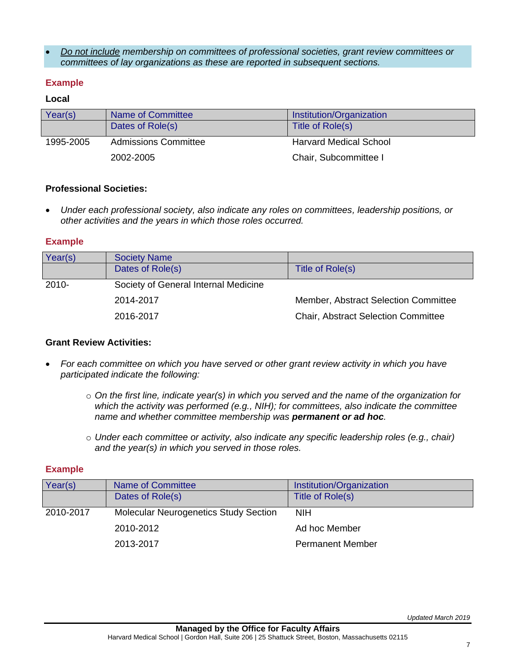*Do not include membership on committees of professional societies, grant review committees or committees of lay organizations as these are reported in subsequent sections.*

### **Example**

### **Local**

| Year(s)   | Institution/Organization<br>Name of Committee |                               |
|-----------|-----------------------------------------------|-------------------------------|
|           | Dates of Role(s)                              | Title of Role(s)              |
| 1995-2005 | <b>Admissions Committee</b>                   | <b>Harvard Medical School</b> |
|           | 2002-2005                                     | Chair, Subcommittee I         |

### **Professional Societies:**

 *Under each professional society, also indicate any roles on committees, leadership positions, or other activities and the years in which those roles occurred.* 

### **Example**

| Year(s)  | <b>Society Name</b>                  |                                            |
|----------|--------------------------------------|--------------------------------------------|
|          | Dates of Role(s)                     | Title of Role(s)                           |
| $2010 -$ | Society of General Internal Medicine |                                            |
|          | 2014-2017                            | Member, Abstract Selection Committee       |
|          | 2016-2017                            | <b>Chair, Abstract Selection Committee</b> |

### **Grant Review Activities:**

- *For each committee on which you have served or other grant review activity in which you have participated indicate the following:* 
	- o *On the first line, indicate year(s) in which you served and the name of the organization for which the activity was performed (e.g., NIH); for committees, also indicate the committee name and whether committee membership was permanent or ad hoc.*
	- o *Under each committee or activity, also indicate any specific leadership roles (e.g., chair) and the year(s) in which you served in those roles.*

| Year(s)   | Name of Committee                            | Institution/Organization |
|-----------|----------------------------------------------|--------------------------|
|           | Dates of Role(s)                             | Title of Role(s)         |
| 2010-2017 | <b>Molecular Neurogenetics Study Section</b> | <b>NIH</b>               |
|           | 2010-2012                                    | Ad hoc Member            |
|           | 2013-2017                                    | <b>Permanent Member</b>  |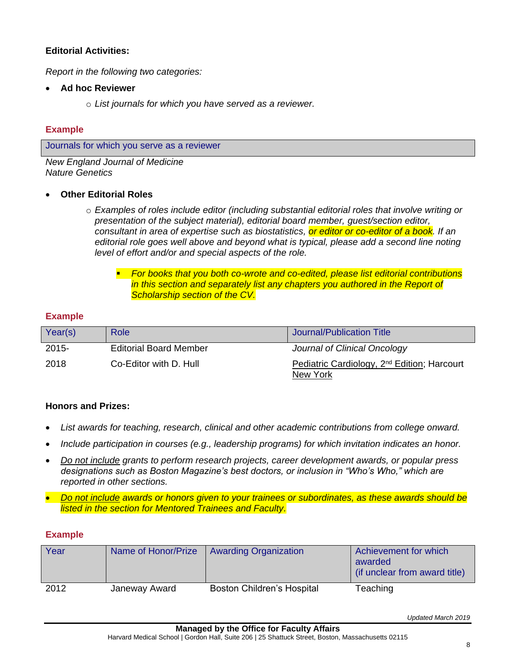# **Editorial Activities:**

*Report in the following two categories:*

- **Ad hoc Reviewer**
	- o *List journals for which you have served as a reviewer.*

### **Example**

Journals for which you serve as a reviewer

*New England Journal of Medicine Nature Genetics*

### **Other Editorial Roles**

- o *Examples of roles include editor (including substantial editorial roles that involve writing or presentation of the subject material), editorial board member, guest/section editor, consultant in area of expertise such as biostatistics, or editor or co-editor of a book. If an*  editorial role goes well above and beyond what is typical, please add a second line noting *level of effort and/or and special aspects of the role.*
	- *For books that you both co-wrote and co-edited, please list editorial contributions in this section and separately list any chapters you authored in the Report of Scholarship section of the CV.*

### **Example**

| Year(s)  | Role                          | Journal/Publication Title                                                  |
|----------|-------------------------------|----------------------------------------------------------------------------|
| $2015 -$ | <b>Editorial Board Member</b> | Journal of Clinical Oncology                                               |
| 2018     | Co-Editor with D. Hull        | Pediatric Cardiology, 2 <sup>nd</sup> Edition; Harcourt<br><b>New York</b> |

### **Honors and Prizes:**

- *List awards for teaching, research, clinical and other academic contributions from college onward.*
- *Include participation in courses (e.g., leadership programs) for which invitation indicates an honor.*
- *Do not include grants to perform research projects, career development awards, or popular press designations such as Boston Magazine's best doctors, or inclusion in "Who's Who," which are reported in other sections.*
- *Do not include awards or honors given to your trainees or subordinates, as these awards should be listed in the section for Mentored Trainees and Faculty.*

### **Example**

| Year | Name of Honor/Prize | <b>Awarding Organization</b>      | Achievement for which<br>awarded<br>(if unclear from award title) |
|------|---------------------|-----------------------------------|-------------------------------------------------------------------|
| 2012 | Janeway Award       | <b>Boston Children's Hospital</b> | Teaching                                                          |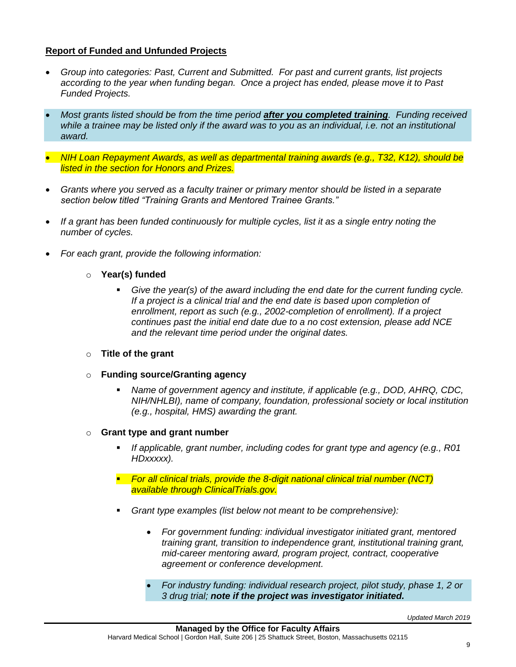## **Report of Funded and Unfunded Projects**

- *Group into categories: Past, Current and Submitted. For past and current grants, list projects according to the year when funding began. Once a project has ended, please move it to Past Funded Projects.*
- *Most grants listed should be from the time period after you completed training. Funding received while a trainee may be listed only if the award was to you as an individual, i.e. not an institutional award.*
- *NIH Loan Repayment Awards, as well as departmental training awards (e.g., T32, K12), should be listed in the section for Honors and Prizes.*
- *Grants where you served as a faculty trainer or primary mentor should be listed in a separate section below titled "Training Grants and Mentored Trainee Grants."*
- *If a grant has been funded continuously for multiple cycles, list it as a single entry noting the number of cycles.*
- *For each grant, provide the following information:*

### o **Year(s) funded**

 *Give the year(s) of the award including the end date for the current funding cycle.*  If a project is a clinical trial and the end date is based upon completion of *enrollment, report as such (e.g., 2002-completion of enrollment). If a project continues past the initial end date due to a no cost extension, please add NCE and the relevant time period under the original dates.* 

### o **Title of the grant**

### o **Funding source/Granting agency**

 *Name of government agency and institute, if applicable (e.g., DOD, AHRQ, CDC, NIH/NHLBI), name of company, foundation, professional society or local institution (e.g., hospital, HMS) awarding the grant.*

### o **Grant type and grant number**

- *If applicable, grant number, including codes for grant type and agency (e.g., R01 HDxxxxx).*
- *For all clinical trials, provide the 8-digit national clinical trial number (NCT) available through ClinicalTrials.gov.*
- *Grant type examples (list below not meant to be comprehensive):*
	- *For government funding: individual investigator initiated grant, mentored training grant, transition to independence grant, institutional training grant, mid-career mentoring award, program project, contract, cooperative agreement or conference development.*
	- *For industry funding: individual research project, pilot study, phase 1, 2 or 3 drug trial; note if the project was investigator initiated.*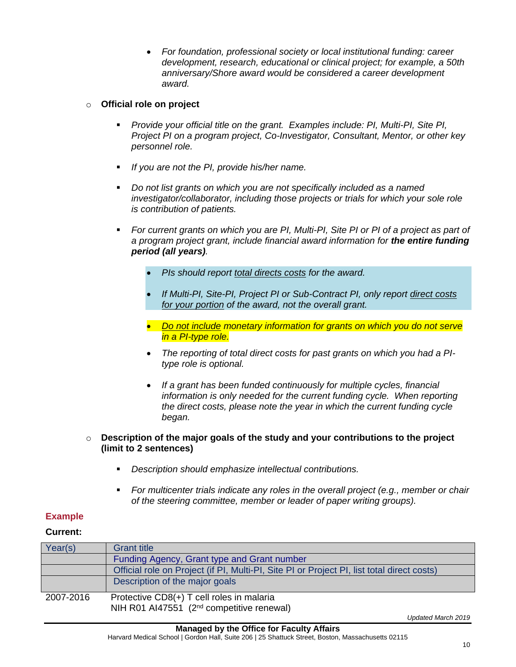*For foundation, professional society or local institutional funding: career development, research, educational or clinical project; for example, a 50th anniversary/Shore award would be considered a career development award.*

### o **Official role on project**

- *Provide your official title on the grant. Examples include: PI, Multi-PI, Site PI, Project PI on a program project, Co-Investigator, Consultant, Mentor, or other key personnel role.*
- *If you are not the PI, provide his/her name.*
- *Do not list grants on which you are not specifically included as a named investigator/collaborator, including those projects or trials for which your sole role is contribution of patients.*
- *For current grants on which you are PI, Multi-PI, Site PI or PI of a project as part of a program project grant, include financial award information for the entire funding period (all years).*
	- *PIs should report total directs costs for the award.*
	- *If Multi-PI, Site-PI, Project PI or Sub-Contract PI, only report direct costs for your portion of the award, not the overall grant.*
	- *Do not include monetary information for grants on which you do not serve in a PI-type role.*
	- *The reporting of total direct costs for past grants on which you had a PItype role is optional.*
	- *If a grant has been funded continuously for multiple cycles, financial information is only needed for the current funding cycle. When reporting the direct costs, please note the year in which the current funding cycle began.*

### o **Description of the major goals of the study and your contributions to the project (limit to 2 sentences)**

- *Description should emphasize intellectual contributions.*
- *For multicenter trials indicate any roles in the overall project (e.g., member or chair of the steering committee, member or leader of paper writing groups).*

## **Example**

### **Current:**

| Year(s)   | <b>Grant title</b>                                                                         |
|-----------|--------------------------------------------------------------------------------------------|
|           |                                                                                            |
|           | Funding Agency, Grant type and Grant number                                                |
|           | Official role on Project (if PI, Multi-PI, Site PI or Project PI, list total direct costs) |
|           | Description of the major goals                                                             |
|           |                                                                                            |
| 2007-2016 | Protective CD8(+) T cell roles in malaria                                                  |
|           | NIH R01 AI47551 (2 <sup>nd</sup> competitive renewal)                                      |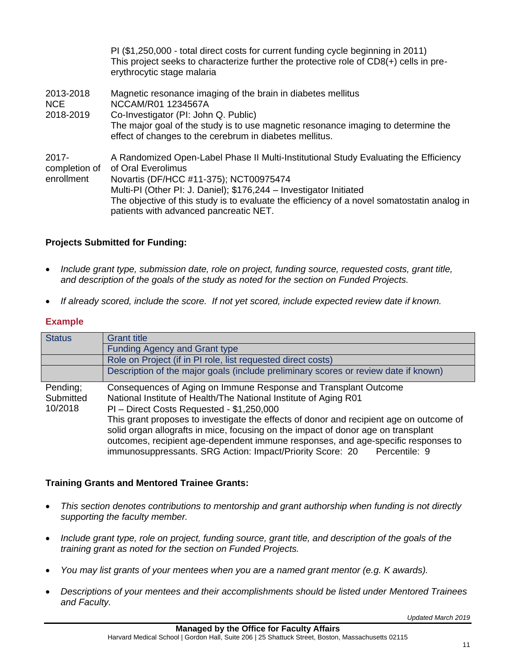PI (\$1,250,000 - total direct costs for current funding cycle beginning in 2011) This project seeks to characterize further the protective role of CD8(+) cells in preerythrocytic stage malaria 2013-2018 Magnetic resonance imaging of the brain in diabetes mellitus NCE NCCAM/R01 1234567A 2018-2019 Co-Investigator (PI: John Q. Public) The major goal of the study is to use magnetic resonance imaging to determine the effect of changes to the cerebrum in diabetes mellitus. 2017 completion of enrollment A Randomized Open-Label Phase II Multi-Institutional Study Evaluating the Efficiency of Oral Everolimus Novartis (DF/HCC #11-375); NCT00975474 Multi-PI (Other PI: J. Daniel); \$176,244 – Investigator Initiated The objective of this study is to evaluate the efficiency of a novel somatostatin analog in patients with advanced pancreatic NET.

## **Projects Submitted for Funding:**

- *Include grant type, submission date, role on project, funding source, requested costs, grant title, and description of the goals of the study as noted for the section on Funded Projects.*
- *If already scored, include the score. If not yet scored, include expected review date if known.*

### **Example**

| <b>Status</b>                    | <b>Grant title</b><br><b>Funding Agency and Grant type</b>                                                                                                                                                                                                                                                                                                                                                                                                                                                                          |
|----------------------------------|-------------------------------------------------------------------------------------------------------------------------------------------------------------------------------------------------------------------------------------------------------------------------------------------------------------------------------------------------------------------------------------------------------------------------------------------------------------------------------------------------------------------------------------|
|                                  | Role on Project (if in PI role, list requested direct costs)                                                                                                                                                                                                                                                                                                                                                                                                                                                                        |
|                                  | Description of the major goals (include preliminary scores or review date if known)                                                                                                                                                                                                                                                                                                                                                                                                                                                 |
| Pending;<br>Submitted<br>10/2018 | Consequences of Aging on Immune Response and Transplant Outcome<br>National Institute of Health/The National Institute of Aging R01<br>PI - Direct Costs Requested - \$1,250,000<br>This grant proposes to investigate the effects of donor and recipient age on outcome of<br>solid organ allografts in mice, focusing on the impact of donor age on transplant<br>outcomes, recipient age-dependent immune responses, and age-specific responses to<br>immunosuppressants. SRG Action: Impact/Priority Score: 20<br>Percentile: 9 |

## **Training Grants and Mentored Trainee Grants:**

- *This section denotes contributions to mentorship and grant authorship when funding is not directly supporting the faculty member.*
- *Include grant type, role on project, funding source, grant title, and description of the goals of the training grant as noted for the section on Funded Projects.*
- *You may list grants of your mentees when you are a named grant mentor (e.g. K awards).*
- *Descriptions of your mentees and their accomplishments should be listed under Mentored Trainees and Faculty.*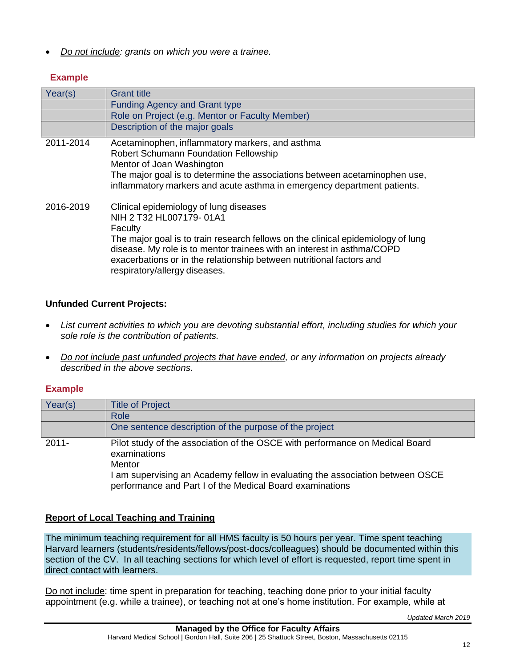*Do not include: grants on which you were a trainee.*

# **Example**

| Year(s)   | <b>Grant title</b>                                                                                                                                                                                                                                                                                                                                  |
|-----------|-----------------------------------------------------------------------------------------------------------------------------------------------------------------------------------------------------------------------------------------------------------------------------------------------------------------------------------------------------|
|           | <b>Funding Agency and Grant type</b>                                                                                                                                                                                                                                                                                                                |
|           | Role on Project (e.g. Mentor or Faculty Member)                                                                                                                                                                                                                                                                                                     |
|           | Description of the major goals                                                                                                                                                                                                                                                                                                                      |
| 2011-2014 | Acetaminophen, inflammatory markers, and asthma<br>Robert Schumann Foundation Fellowship<br>Mentor of Joan Washington<br>The major goal is to determine the associations between acetaminophen use,<br>inflammatory markers and acute asthma in emergency department patients.                                                                      |
| 2016-2019 | Clinical epidemiology of lung diseases<br>NIH 2 T32 HL007179-01A1<br>Faculty<br>The major goal is to train research fellows on the clinical epidemiology of lung<br>disease. My role is to mentor trainees with an interest in asthma/COPD<br>exacerbations or in the relationship between nutritional factors and<br>respiratory/allergy diseases. |

# **Unfunded Current Projects:**

- *List current activities to which you are devoting substantial effort, including studies for which your sole role is the contribution of patients.*
- *Do not include past unfunded projects that have ended, or any information on projects already described in the above sections.*

# **Example**

| Year(s)  | <b>Title of Project</b>                                                                                                                                                                                                                                    |
|----------|------------------------------------------------------------------------------------------------------------------------------------------------------------------------------------------------------------------------------------------------------------|
|          | <b>Role</b>                                                                                                                                                                                                                                                |
|          | One sentence description of the purpose of the project                                                                                                                                                                                                     |
| $2011 -$ | Pilot study of the association of the OSCE with performance on Medical Board<br>examinations<br><b>Mentor</b><br>I am supervising an Academy fellow in evaluating the association between OSCE<br>performance and Part I of the Medical Board examinations |

# **Report of Local Teaching and Training**

The minimum teaching requirement for all HMS faculty is 50 hours per year. Time spent teaching Harvard learners (students/residents/fellows/post-docs/colleagues) should be documented within this section of the CV. In all teaching sections for which level of effort is requested, report time spent in direct contact with learners.

Do not include: time spent in preparation for teaching, teaching done prior to your initial faculty appointment (e.g. while a trainee), or teaching not at one's home institution. For example, while at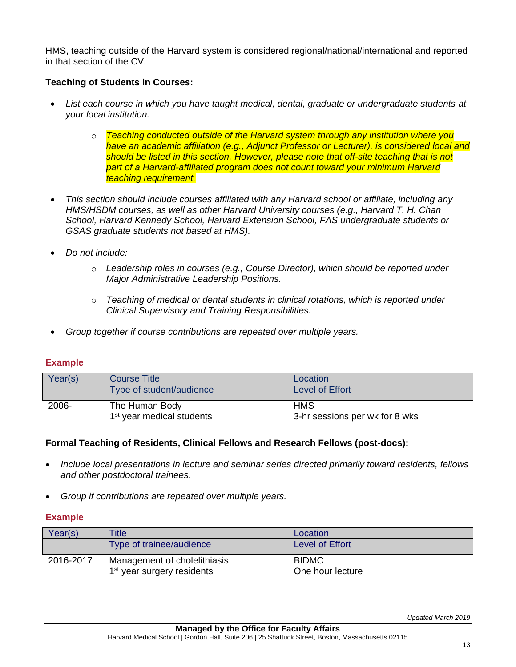HMS, teaching outside of the Harvard system is considered regional/national/international and reported in that section of the CV.

## **Teaching of Students in Courses:**

- *List each course in which you have taught medical, dental, graduate or undergraduate students at your local institution.*
	- o *Teaching conducted outside of the Harvard system through any institution where you have an academic affiliation (e.g., Adjunct Professor or Lecturer), is considered local and should be listed in this section. However, please note that off-site teaching that is not part of a Harvard-affiliated program does not count toward your minimum Harvard teaching requirement.*
- *This section should include courses affiliated with any Harvard school or affiliate, including any HMS/HSDM courses, as well as other Harvard University courses (e.g., Harvard T. H. Chan School, Harvard Kennedy School, Harvard Extension School, FAS undergraduate students or GSAS graduate students not based at HMS).*
- *Do not include:*
	- o *Leadership roles in courses (e.g., Course Director), which should be reported under Major Administrative Leadership Positions.*
	- o *Teaching of medical or dental students in clinical rotations, which is reported under Clinical Supervisory and Training Responsibilities.*
- *Group together if course contributions are repeated over multiple years.*

# **Example**

| Year(s) | <b>Course Title</b>                                     | Location                                     |
|---------|---------------------------------------------------------|----------------------------------------------|
|         | Type of student/audience                                | Level of Effort                              |
| 2006-   | The Human Body<br>1 <sup>st</sup> year medical students | <b>HMS</b><br>3-hr sessions per wk for 8 wks |

# **Formal Teaching of Residents, Clinical Fellows and Research Fellows (post-docs):**

- *Include local presentations in lecture and seminar series directed primarily toward residents, fellows and other postdoctoral trainees.*
- *Group if contributions are repeated over multiple years.*

| Year(s)   | <b>Title</b>                                                           | Location                         |
|-----------|------------------------------------------------------------------------|----------------------------------|
|           | Type of trainee/audience                                               | <b>Level of Effort</b>           |
| 2016-2017 | Management of cholelithiasis<br>1 <sup>st</sup> year surgery residents | <b>BIDMC</b><br>One hour lecture |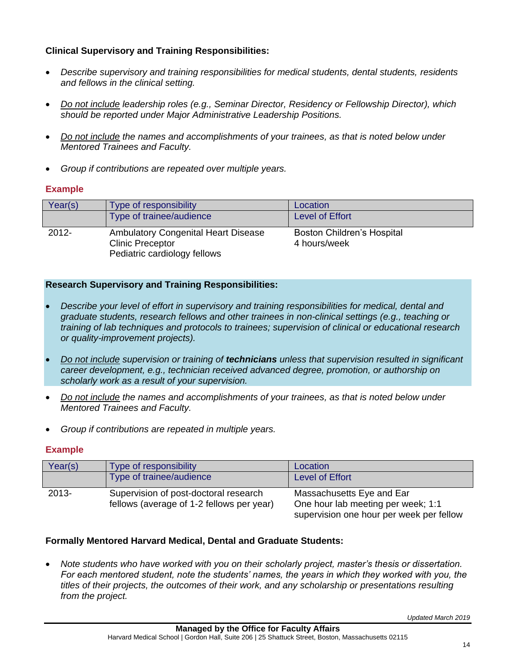# **Clinical Supervisory and Training Responsibilities:**

- *Describe supervisory and training responsibilities for medical students, dental students, residents and fellows in the clinical setting.*
- *Do not include leadership roles (e.g., Seminar Director, Residency or Fellowship Director), which should be reported under Major Administrative Leadership Positions.*
- *Do not include the names and accomplishments of your trainees, as that is noted below under Mentored Trainees and Faculty.*
- *Group if contributions are repeated over multiple years.*

# **Example**

| Year(s)  | <b>Type of responsibility</b>                                                                         | Location                                          |
|----------|-------------------------------------------------------------------------------------------------------|---------------------------------------------------|
|          | Type of trainee/audience                                                                              | <b>Level of Effort</b>                            |
| $2012 -$ | <b>Ambulatory Congenital Heart Disease</b><br><b>Clinic Preceptor</b><br>Pediatric cardiology fellows | <b>Boston Children's Hospital</b><br>4 hours/week |

## **Research Supervisory and Training Responsibilities:**

- *Describe your level of effort in supervisory and training responsibilities for medical, dental and graduate students, research fellows and other trainees in non-clinical settings (e.g., teaching or training of lab techniques and protocols to trainees; supervision of clinical or educational research or quality-improvement projects).*
- *Do not include supervision or training of technicians unless that supervision resulted in significant career development, e.g., technician received advanced degree, promotion, or authorship on scholarly work as a result of your supervision.*
- *Do not include the names and accomplishments of your trainees, as that is noted below under Mentored Trainees and Faculty.*
- *Group if contributions are repeated in multiple years.*

## **Example**

| Year(s)  | Type of responsibility<br>Type of trainee/audience                                 | Location<br><b>Level of Effort</b>                                                                          |
|----------|------------------------------------------------------------------------------------|-------------------------------------------------------------------------------------------------------------|
| $2013 -$ | Supervision of post-doctoral research<br>fellows (average of 1-2 fellows per year) | Massachusetts Eye and Ear<br>One hour lab meeting per week; 1:1<br>supervision one hour per week per fellow |

## **Formally Mentored Harvard Medical, Dental and Graduate Students:**

 *Note students who have worked with you on their scholarly project, master's thesis or dissertation. For each mentored student, note the students' names, the years in which they worked with you, the titles of their projects, the outcomes of their work, and any scholarship or presentations resulting from the project.*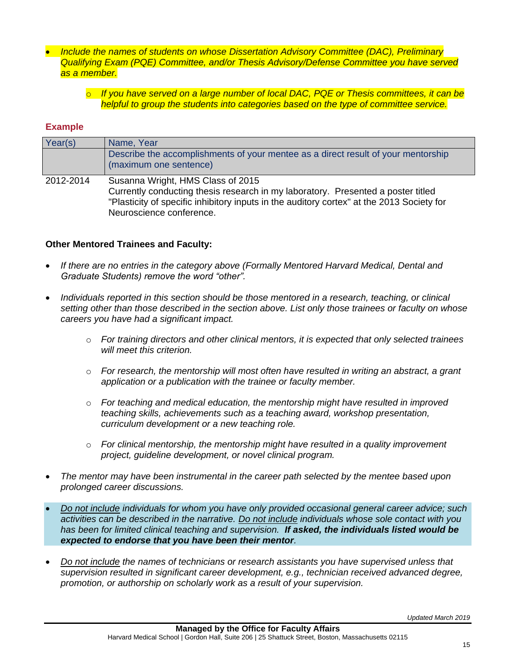- *Include the names of students on whose Dissertation Advisory Committee (DAC), Preliminary Qualifying Exam (PQE) Committee, and/or Thesis Advisory/Defense Committee you have served as a member.*
	- o *If you have served on a large number of local DAC, PQE or Thesis committees, it can be helpful to group the students into categories based on the type of committee service.*

### **Example**

| Year(s)   | Name, Year                                                                                                                                                                                                                                     |
|-----------|------------------------------------------------------------------------------------------------------------------------------------------------------------------------------------------------------------------------------------------------|
|           | Describe the accomplishments of your mentee as a direct result of your mentorship<br>(maximum one sentence)                                                                                                                                    |
| 2012-2014 | Susanna Wright, HMS Class of 2015<br>Currently conducting thesis research in my laboratory. Presented a poster titled<br>"Plasticity of specific inhibitory inputs in the auditory cortex" at the 2013 Society for<br>Neuroscience conference. |

### **Other Mentored Trainees and Faculty:**

- *If there are no entries in the category above (Formally Mentored Harvard Medical, Dental and Graduate Students) remove the word "other".*
- *Individuals reported in this section should be those mentored in a research, teaching, or clinical setting other than those described in the section above. List only those trainees or faculty on whose careers you have had a significant impact.* 
	- o *For training directors and other clinical mentors, it is expected that only selected trainees will meet this criterion.*
	- o *For research, the mentorship will most often have resulted in writing an abstract, a grant application or a publication with the trainee or faculty member.*
	- o *For teaching and medical education, the mentorship might have resulted in improved teaching skills, achievements such as a teaching award, workshop presentation, curriculum development or a new teaching role.*
	- o *For clinical mentorship, the mentorship might have resulted in a quality improvement project, guideline development, or novel clinical program.*
- *The mentor may have been instrumental in the career path selected by the mentee based upon prolonged career discussions.*
- *Do not include individuals for whom you have only provided occasional general career advice; such activities can be described in the narrative. Do not include individuals whose sole contact with you has been for limited clinical teaching and supervision. If asked, the individuals listed would be expected to endorse that you have been their mentor.*
- *Do not include the names of technicians or research assistants you have supervised unless that supervision resulted in significant career development, e.g., technician received advanced degree, promotion, or authorship on scholarly work as a result of your supervision.*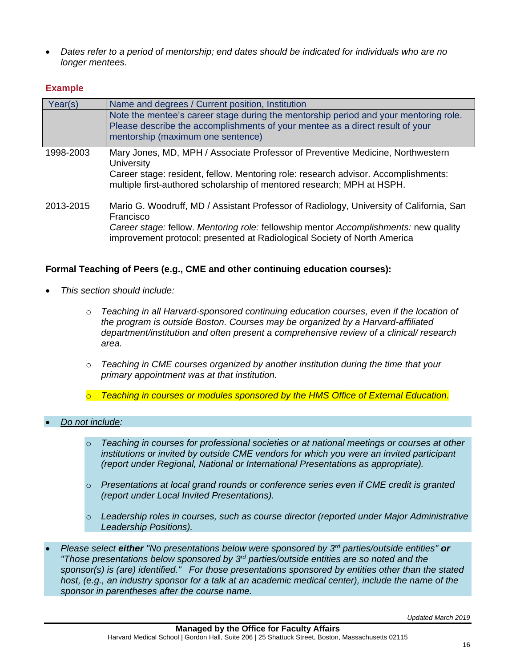*Dates refer to a period of mentorship; end dates should be indicated for individuals who are no longer mentees.*

## **Example**

| Year(s)   | Name and degrees / Current position, Institution                                                                                                                                                                                                                         |  |
|-----------|--------------------------------------------------------------------------------------------------------------------------------------------------------------------------------------------------------------------------------------------------------------------------|--|
|           | Note the mentee's career stage during the mentorship period and your mentoring role.<br>Please describe the accomplishments of your mentee as a direct result of your<br>mentorship (maximum one sentence)                                                               |  |
| 1998-2003 | Mary Jones, MD, MPH / Associate Professor of Preventive Medicine, Northwestern<br>University<br>Career stage: resident, fellow. Mentoring role: research advisor. Accomplishments:<br>multiple first-authored scholarship of mentored research; MPH at HSPH.             |  |
| 2013-2015 | Mario G. Woodruff, MD / Assistant Professor of Radiology, University of California, San<br>Francisco<br>Career stage: fellow. Mentoring role: fellowship mentor Accomplishments: new quality<br>improvement protocol; presented at Radiological Society of North America |  |

### **Formal Teaching of Peers (e.g., CME and other continuing education courses):**

- *This section should include:*
	- o *Teaching in all Harvard-sponsored continuing education courses, even if the location of the program is outside Boston. Courses may be organized by a Harvard-affiliated department/institution and often present a comprehensive review of a clinical/ research area.*
	- o *Teaching in CME courses organized by another institution during the time that your primary appointment was at that institution.*
	- *Teaching in courses or modules sponsored by the HMS Office of External Education.*

*Do not include:*

- o *Teaching in courses for professional societies or at national meetings or courses at other institutions or invited by outside CME vendors for which you were an invited participant (report under Regional, National or International Presentations as appropriate).*
- o *Presentations at local grand rounds or conference series even if CME credit is granted (report under Local Invited Presentations).*
- o *Leadership roles in courses, such as course director (reported under Major Administrative Leadership Positions).*

• Please select either "No presentations below were sponsored by 3<sup>rd</sup> parties/outside entities" or *"Those presentations below sponsored by 3 rd parties/outside entities are so noted and the sponsor(s) is (are) identified." For those presentations sponsored by entities other than the stated host, (e.g., an industry sponsor for a talk at an academic medical center), include the name of the sponsor in parentheses after the course name.*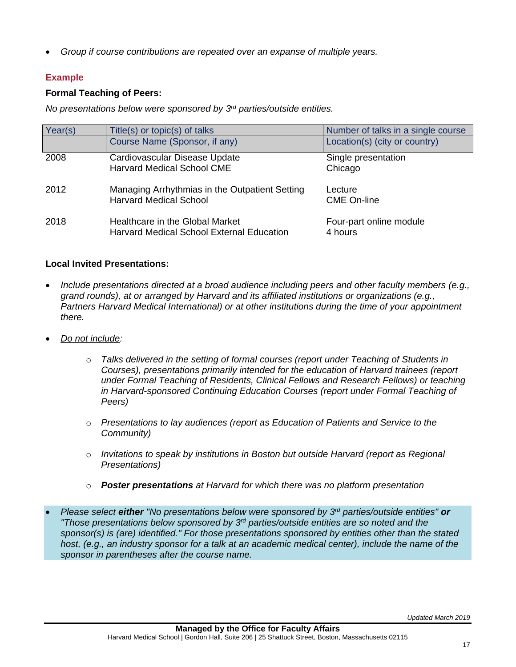*Group if course contributions are repeated over an expanse of multiple years.* 

# **Example**

# **Formal Teaching of Peers:**

*No presentations below were sponsored by 3 rd parties/outside entities.*

| Year(s) | Title(s) or topic(s) of talks                    | Number of talks in a single course |
|---------|--------------------------------------------------|------------------------------------|
|         | Course Name (Sponsor, if any)                    | Location(s) (city or country)      |
| 2008    | Cardiovascular Disease Update                    | Single presentation                |
|         | <b>Harvard Medical School CME</b>                | Chicago                            |
| 2012    | Managing Arrhythmias in the Outpatient Setting   | Lecture                            |
|         | <b>Harvard Medical School</b>                    | <b>CME On-line</b>                 |
| 2018    | Healthcare in the Global Market                  | Four-part online module            |
|         | <b>Harvard Medical School External Education</b> | 4 hours                            |

## **Local Invited Presentations:**

- *Include presentations directed at a broad audience including peers and other faculty members (e.g., grand rounds), at or arranged by Harvard and its affiliated institutions or organizations (e.g., Partners Harvard Medical International) or at other institutions during the time of your appointment there.*
- *Do not include:*
	- o *Talks delivered in the setting of formal courses (report under Teaching of Students in Courses), presentations primarily intended for the education of Harvard trainees (report under Formal Teaching of Residents, Clinical Fellows and Research Fellows) or teaching in Harvard-sponsored Continuing Education Courses (report under Formal Teaching of Peers)*
	- o *Presentations to lay audiences (report as Education of Patients and Service to the Community)*
	- o *Invitations to speak by institutions in Boston but outside Harvard (report as Regional Presentations)*
	- o *Poster presentations at Harvard for which there was no platform presentation*

• Please select either "No presentations below were sponsored by 3<sup>rd</sup> parties/outside entities" or *"Those presentations below sponsored by 3 rd parties/outside entities are so noted and the sponsor(s) is (are) identified." For those presentations sponsored by entities other than the stated host, (e.g., an industry sponsor for a talk at an academic medical center), include the name of the sponsor in parentheses after the course name.*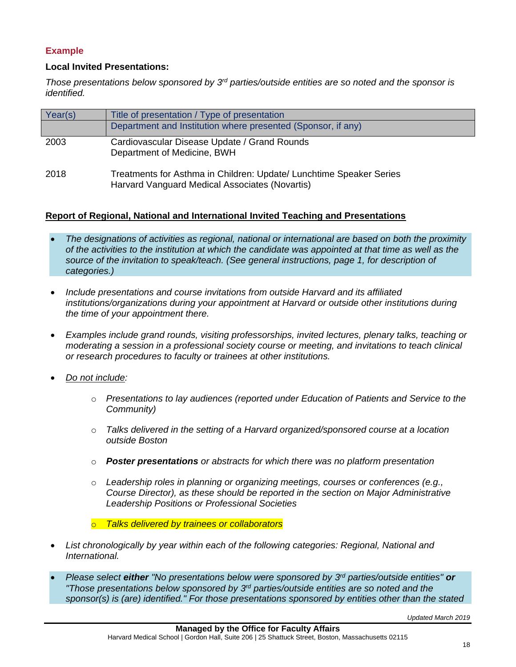# **Example**

### **Local Invited Presentations:**

*Those presentations below sponsored by 3<sup>rd</sup> parties/outside entities are so noted and the sponsor is identified.*

| Year(s) | Title of presentation / Type of presentation                                                                          |
|---------|-----------------------------------------------------------------------------------------------------------------------|
|         | Department and Institution where presented (Sponsor, if any)                                                          |
| 2003    | Cardiovascular Disease Update / Grand Rounds<br>Department of Medicine, BWH                                           |
| 2018    | Treatments for Asthma in Children: Update/ Lunchtime Speaker Series<br>Harvard Vanguard Medical Associates (Novartis) |

### **Report of Regional, National and International Invited Teaching and Presentations**

- *The designations of activities as regional, national or international are based on both the proximity of the activities to the institution at which the candidate was appointed at that time as well as the source of the invitation to speak/teach. (See general instructions, page 1, for description of categories.)*
- *Include presentations and course invitations from outside Harvard and its affiliated institutions/organizations during your appointment at Harvard or outside other institutions during the time of your appointment there.*
- *Examples include grand rounds, visiting professorships, invited lectures, plenary talks, teaching or moderating a session in a professional society course or meeting, and invitations to teach clinical or research procedures to faculty or trainees at other institutions.*
- *Do not include:*
	- o *Presentations to lay audiences (reported under Education of Patients and Service to the Community)*
	- o *Talks delivered in the setting of a Harvard organized/sponsored course at a location outside Boston*
	- o *Poster presentations or abstracts for which there was no platform presentation*
	- o *Leadership roles in planning or organizing meetings, courses or conferences (e.g., Course Director), as these should be reported in the section on Major Administrative Leadership Positions or Professional Societies*
	- o *Talks delivered by trainees or collaborators*
- *List chronologically by year within each of the following categories: Regional, National and International.*
- Please select either "No presentations below were sponsored by 3<sup>rd</sup> parties/outside entities" or *"Those presentations below sponsored by 3 rd parties/outside entities are so noted and the sponsor(s) is (are) identified." For those presentations sponsored by entities other than the stated*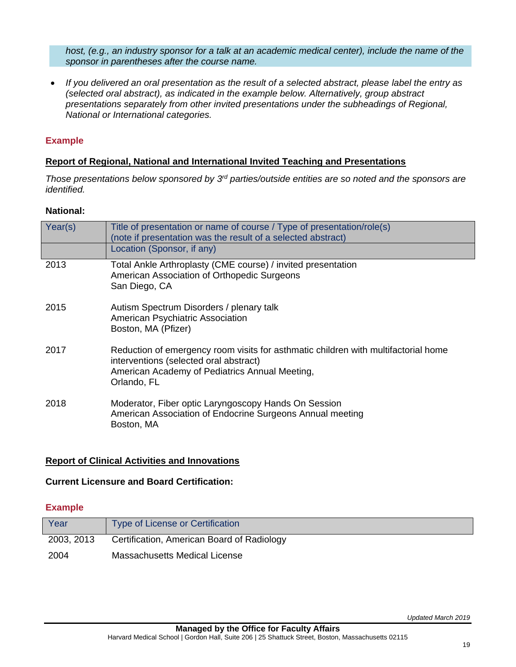host, (e.g., an industry sponsor for a talk at an academic medical center), include the name of the *sponsor in parentheses after the course name.*

 *If you delivered an oral presentation as the result of a selected abstract, please label the entry as (selected oral abstract), as indicated in the example below. Alternatively, group abstract presentations separately from other invited presentations under the subheadings of Regional, National or International categories.* 

## **Example**

### **Report of Regional, National and International Invited Teaching and Presentations**

*Those presentations below sponsored by 3<sup>rd</sup> parties/outside entities are so noted and the sponsors are identified.*

### **National:**

| Year(s) | Title of presentation or name of course / Type of presentation/role(s)<br>(note if presentation was the result of a selected abstract)<br>Location (Sponsor, if any)                          |
|---------|-----------------------------------------------------------------------------------------------------------------------------------------------------------------------------------------------|
| 2013    | Total Ankle Arthroplasty (CME course) / invited presentation<br>American Association of Orthopedic Surgeons<br>San Diego, CA                                                                  |
| 2015    | Autism Spectrum Disorders / plenary talk<br>American Psychiatric Association<br>Boston, MA (Pfizer)                                                                                           |
| 2017    | Reduction of emergency room visits for asthmatic children with multifactorial home<br>interventions (selected oral abstract)<br>American Academy of Pediatrics Annual Meeting,<br>Orlando, FL |
| 2018    | Moderator, Fiber optic Laryngoscopy Hands On Session<br>American Association of Endocrine Surgeons Annual meeting<br>Boston, MA                                                               |

## **Report of Clinical Activities and Innovations**

## **Current Licensure and Board Certification:**

| Year       | <b>Type of License or Certification</b>    |
|------------|--------------------------------------------|
| 2003, 2013 | Certification, American Board of Radiology |
| 2004       | Massachusetts Medical License              |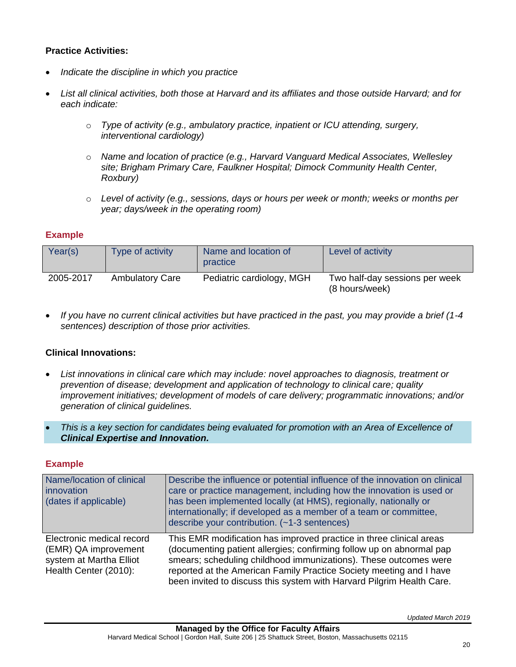# **Practice Activities:**

- *Indicate the discipline in which you practice*
- *List all clinical activities, both those at Harvard and its affiliates and those outside Harvard; and for each indicate:*
	- o *Type of activity (e.g., ambulatory practice, inpatient or ICU attending, surgery, interventional cardiology)*
	- o *Name and location of practice (e.g., Harvard Vanguard Medical Associates, Wellesley site; Brigham Primary Care, Faulkner Hospital; Dimock Community Health Center, Roxbury)*
	- o *Level of activity (e.g., sessions, days or hours per week or month; weeks or months per year; days/week in the operating room)*

## **Example**

| Year(s)   | Type of activity       | Name and location of<br>practice | Level of activity                                |
|-----------|------------------------|----------------------------------|--------------------------------------------------|
| 2005-2017 | <b>Ambulatory Care</b> | Pediatric cardiology, MGH        | Two half-day sessions per week<br>(8 hours/week) |

 *If you have no current clinical activities but have practiced in the past, you may provide a brief (1-4 sentences) description of those prior activities.*

## **Clinical Innovations:**

- *List innovations in clinical care which may include: novel approaches to diagnosis, treatment or prevention of disease; development and application of technology to clinical care; quality improvement initiatives; development of models of care delivery; programmatic innovations; and/or generation of clinical guidelines.*
- *This is a key section for candidates being evaluated for promotion with an Area of Excellence of Clinical Expertise and Innovation.*

# **Example**

| Name/location of clinical<br>innovation<br>(dates if applicable)                                      | Describe the influence or potential influence of the innovation on clinical<br>care or practice management, including how the innovation is used or<br>has been implemented locally (at HMS), regionally, nationally or<br>internationally; if developed as a member of a team or committee,<br>describe your contribution. (~1-3 sentences)                    |
|-------------------------------------------------------------------------------------------------------|-----------------------------------------------------------------------------------------------------------------------------------------------------------------------------------------------------------------------------------------------------------------------------------------------------------------------------------------------------------------|
| Electronic medical record<br>(EMR) QA improvement<br>system at Martha Elliot<br>Health Center (2010): | This EMR modification has improved practice in three clinical areas<br>(documenting patient allergies; confirming follow up on abnormal pap<br>smears; scheduling childhood immunizations). These outcomes were<br>reported at the American Family Practice Society meeting and I have<br>been invited to discuss this system with Harvard Pilgrim Health Care. |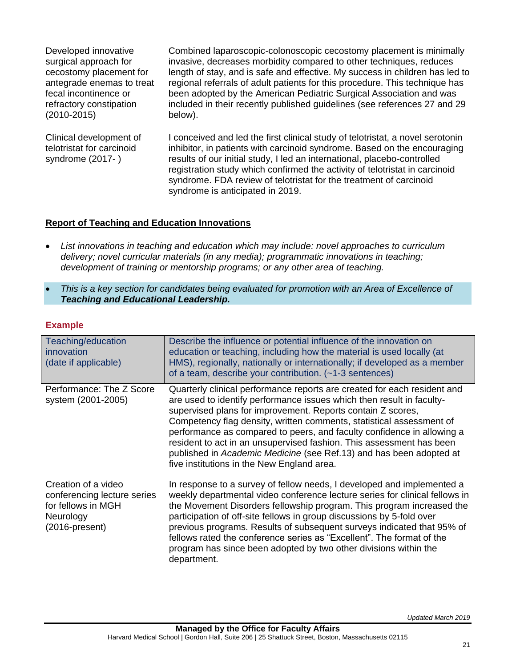Developed innovative surgical approach for cecostomy placement for antegrade enemas to treat fecal incontinence or refractory constipation (2010-2015)

Clinical development of telotristat for carcinoid syndrome (2017- )

Combined laparoscopic-colonoscopic cecostomy placement is minimally invasive, decreases morbidity compared to other techniques, reduces length of stay, and is safe and effective. My success in children has led to regional referrals of adult patients for this procedure. This technique has been adopted by the American Pediatric Surgical Association and was included in their recently published guidelines (see references 27 and 29 below).

I conceived and led the first clinical study of telotristat, a novel serotonin inhibitor, in patients with carcinoid syndrome. Based on the encouraging results of our initial study, I led an international, placebo-controlled registration study which confirmed the activity of telotristat in carcinoid syndrome. FDA review of telotristat for the treatment of carcinoid syndrome is anticipated in 2019.

## **Report of Teaching and Education Innovations**

- *List innovations in teaching and education which may include: novel approaches to curriculum delivery; novel curricular materials (in any media); programmatic innovations in teaching; development of training or mentorship programs; or any other area of teaching.*
- This is a key section for candidates being evaluated for promotion with an Area of Excellence of *Teaching and Educational Leadership.*

| Teaching/education<br>innovation<br>(date if applicable)                                                   | Describe the influence or potential influence of the innovation on<br>education or teaching, including how the material is used locally (at<br>HMS), regionally, nationally or internationally; if developed as a member<br>of a team, describe your contribution. (~1-3 sentences)                                                                                                                                                                                                                                                                             |
|------------------------------------------------------------------------------------------------------------|-----------------------------------------------------------------------------------------------------------------------------------------------------------------------------------------------------------------------------------------------------------------------------------------------------------------------------------------------------------------------------------------------------------------------------------------------------------------------------------------------------------------------------------------------------------------|
| Performance: The Z Score<br>system (2001-2005)                                                             | Quarterly clinical performance reports are created for each resident and<br>are used to identify performance issues which then result in faculty-<br>supervised plans for improvement. Reports contain Z scores,<br>Competency flag density, written comments, statistical assessment of<br>performance as compared to peers, and faculty confidence in allowing a<br>resident to act in an unsupervised fashion. This assessment has been<br>published in Academic Medicine (see Ref.13) and has been adopted at<br>five institutions in the New England area. |
| Creation of a video<br>conferencing lecture series<br>for fellows in MGH<br>Neurology<br>$(2016$ -present) | In response to a survey of fellow needs, I developed and implemented a<br>weekly departmental video conference lecture series for clinical fellows in<br>the Movement Disorders fellowship program. This program increased the<br>participation of off-site fellows in group discussions by 5-fold over<br>previous programs. Results of subsequent surveys indicated that 95% of<br>fellows rated the conference series as "Excellent". The format of the<br>program has since been adopted by two other divisions within the<br>department.                   |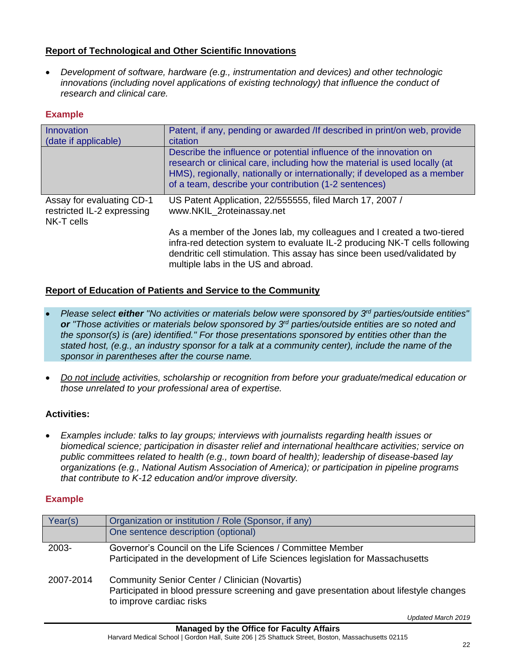# **Report of Technological and Other Scientific Innovations**

 *Development of software, hardware (e.g., instrumentation and devices) and other technologic innovations (including novel applications of existing technology) that influence the conduct of research and clinical care.*

# **Example**

| Innovation<br>(date if applicable)                                    | Patent, if any, pending or awarded / If described in print/on web, provide<br>citation                                                                                                                                                                                                |
|-----------------------------------------------------------------------|---------------------------------------------------------------------------------------------------------------------------------------------------------------------------------------------------------------------------------------------------------------------------------------|
|                                                                       | Describe the influence or potential influence of the innovation on<br>research or clinical care, including how the material is used locally (at<br>HMS), regionally, nationally or internationally; if developed as a member<br>of a team, describe your contribution (1-2 sentences) |
| Assay for evaluating CD-1<br>restricted IL-2 expressing<br>NK-T cells | US Patent Application, 22/555555, filed March 17, 2007 /<br>www.NKIL_2roteinassay.net                                                                                                                                                                                                 |
|                                                                       | As a member of the Jones lab, my colleagues and I created a two-tiered<br>infra-red detection system to evaluate IL-2 producing NK-T cells following<br>dendritic cell stimulation. This assay has since been used/validated by<br>multiple labs in the US and abroad.                |

# **Report of Education of Patients and Service to the Community**

- Please select either "No activities or materials below were sponsored by 3<sup>rd</sup> parties/outside entities" or "Those activities or materials below sponsored by 3<sup>rd</sup> parties/outside entities are so noted and *the sponsor(s) is (are) identified." For those presentations sponsored by entities other than the stated host, (e.g., an industry sponsor for a talk at a community center), include the name of the sponsor in parentheses after the course name.*
- *Do not include activities, scholarship or recognition from before your graduate/medical education or those unrelated to your professional area of expertise.*

# **Activities:**

 *Examples include: talks to lay groups; interviews with journalists regarding health issues or biomedical science; participation in disaster relief and international healthcare activities; service on public committees related to health (e.g., town board of health); leadership of disease-based lay organizations (e.g., National Autism Association of America); or participation in pipeline programs that contribute to K-12 education and/or improve diversity.*

| Year(s)   | Organization or institution / Role (Sponsor, if any)                                                                                                                 |
|-----------|----------------------------------------------------------------------------------------------------------------------------------------------------------------------|
|           | One sentence description (optional)                                                                                                                                  |
| $2003 -$  | Governor's Council on the Life Sciences / Committee Member<br>Participated in the development of Life Sciences legislation for Massachusetts                         |
| 2007-2014 | Community Senior Center / Clinician (Novartis)<br>Participated in blood pressure screening and gave presentation about lifestyle changes<br>to improve cardiac risks |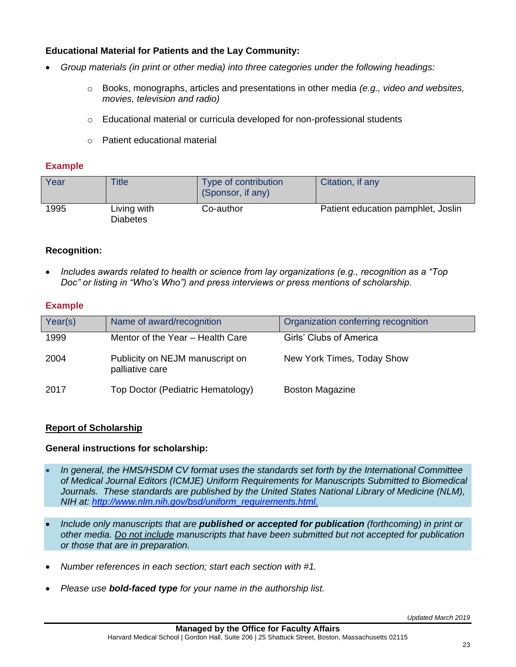# **Educational Material for Patients and the Lay Community:**

- *Group materials (in print or other media) into three categories under the following headings:* 
	- o Books, monographs, articles and presentations in other media *(e.g., video and websites, movies, television and radio)*
	- $\circ$  Educational material or curricula developed for non-professional students
	- o Patient educational material

### **Example**

| Year | Title                          | Type of contribution<br>(Sponsor, if any) | Citation, if any                   |
|------|--------------------------------|-------------------------------------------|------------------------------------|
| 1995 | Living with<br><b>Diabetes</b> | Co-author                                 | Patient education pamphlet, Joslin |

### **Recognition:**

 *Includes awards related to health or science from lay organizations (e.g., recognition as a "Top Doc" or listing in "Who's Who") and press interviews or press mentions of scholarship.*

### **Example**

| Year(s) | Name of award/recognition                          | Organization conferring recognition |
|---------|----------------------------------------------------|-------------------------------------|
| 1999    | Mentor of the Year - Health Care                   | Girls' Clubs of America             |
| 2004    | Publicity on NEJM manuscript on<br>palliative care | New York Times, Today Show          |
| 2017    | Top Doctor (Pediatric Hematology)                  | <b>Boston Magazine</b>              |

## **Report of Scholarship**

## **General instructions for scholarship:**

- *In general, the HMS/HSDM CV format uses the standards set forth by the International Committee of Medical Journal Editors (ICMJE) Uniform Requirements for Manuscripts Submitted to Biomedical Journals. These standards are published by the United States National Library of Medicine (NLM), NIH at: [http://www.nlm.nih.gov/bsd/uniform\\_requirements.html.](http://www.nlm.nih.gov/bsd/uniform_requirements.html)*
- *Include only manuscripts that are published or accepted for publication (forthcoming) in print or other media. Do not include manuscripts that have been submitted but not accepted for publication or those that are in preparation.*
- *Number references in each section; start each section with #1.*
- *Please use bold-faced type for your name in the authorship list.*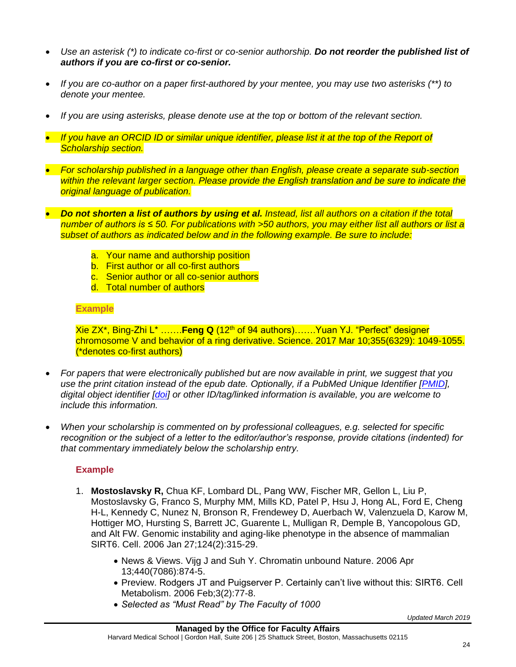- *Use an asterisk (\*) to indicate co-first or co-senior authorship. Do not reorder the published list of authors if you are co-first or co-senior.*
- *If you are co-author on a paper first-authored by your mentee, you may use two asterisks (\*\*) to denote your mentee.*
- *If you are using asterisks, please denote use at the top or bottom of the relevant section.*
- *If you have an ORCID ID or similar unique identifier, please list it at the top of the Report of Scholarship section.*
- *For scholarship published in a language other than English, please create a separate sub-section within the relevant larger section. Please provide the English translation and be sure to indicate the original language of publication.*
- *Do not shorten a list of authors by using et al. Instead, list all authors on a citation if the total number of authors is ≤ 50. For publications with >50 authors, you may either list all authors or list a subset of authors as indicated below and in the following example. Be sure to include:*
	- a. Your name and authorship position
	- b. First author or all co-first authors
	- c. Senior author or all co-senior authors
	- d. Total number of authors

## **Example**

Xie ZX\*, Bing-Zhi L\* …….**Feng Q** (12th of 94 authors)…….Yuan YJ. "Perfect" designer chromosome V and behavior of a ring derivative. Science. 2017 Mar 10;355(6329): 1049-1055. (\*denotes co-first authors)

- *For papers that were electronically published but are now available in print, we suggest that you use the print citation instead of the epub date. Optionally, if a PubMed Unique Identifier [\[PMID\]](http://www.nlm.nih.gov/bsd/mms/medlineelements.html#pmid)*, *digital object identifier [\[doi\]](http://www.doi.org/) or other ID/tag/linked information is available, you are welcome to include this information.*
- *When your scholarship is commented on by professional colleagues, e.g. selected for specific recognition or the subject of a letter to the editor/author's response, provide citations (indented) for that commentary immediately below the scholarship entry.*

- 1. **Mostoslavsky R,** Chua KF, Lombard DL, Pang WW, Fischer MR, Gellon L, Liu P, Mostoslavsky G, Franco S, Murphy MM, Mills KD, Patel P, Hsu J, Hong AL, Ford E, Cheng H-L, Kennedy C, Nunez N, Bronson R, Frendewey D, Auerbach W, Valenzuela D, Karow M, Hottiger MO, Hursting S, Barrett JC, Guarente L, Mulligan R, Demple B, Yancopolous GD, and Alt FW. Genomic instability and aging-like phenotype in the absence of mammalian SIRT6. Cell. 2006 Jan 27;124(2):315-29.
	- News & Views. Vijg J and Suh Y. Chromatin unbound Nature. 2006 Apr 13;440(7086):874-5.
	- Preview. Rodgers JT and Puigserver P. Certainly can't live without this: SIRT6. Cell Metabolism. 2006 Feb;3(2):77-8.
	- *Selected as "Must Read" by The Faculty of 1000*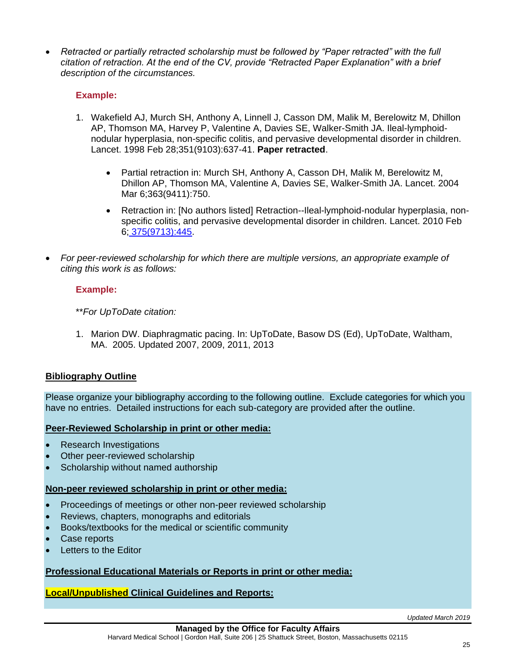*Retracted or partially retracted scholarship must be followed by "Paper retracted" with the full citation of retraction. At the end of the CV, provide "Retracted Paper Explanation" with a brief description of the circumstances.*

## **Example:**

- 1. Wakefield AJ, Murch SH, Anthony A, Linnell J, Casson DM, Malik M, Berelowitz M, Dhillon AP, Thomson MA, Harvey P, Valentine A, Davies SE, Walker-Smith JA. Ileal-lymphoidnodular hyperplasia, non-specific colitis, and pervasive developmental disorder in children. Lancet. 1998 Feb 28;351(9103):637-41. **Paper retracted**.
	- Partial retraction in: Murch SH, Anthony A, Casson DH, Malik M, Berelowitz M, Dhillon AP, Thomson MA, Valentine A, Davies SE, Walker-Smith JA. Lancet. 2004 Mar 6;363(9411):750.
	- Retraction in: [No authors listed] Retraction--Ileal-lymphoid-nodular hyperplasia, nonspecific colitis, and pervasive developmental disorder in children. Lancet. 2010 Feb 6; [375\(9713\):445.](http://www.ncbi.nlm.nih.gov/pubmed/20137807)
- *For peer-reviewed scholarship for which there are multiple versions, an appropriate example of citing this work is as follows:*

## **Example:**

\*\**For UpToDate citation:*

1. Marion DW. Diaphragmatic pacing. In: UpToDate, Basow DS (Ed), UpToDate, Waltham, MA. 2005. Updated 2007, 2009, 2011, 2013

## **Bibliography Outline**

Please organize your bibliography according to the following outline. Exclude categories for which you have no entries. Detailed instructions for each sub-category are provided after the outline.

## **Peer-Reviewed Scholarship in print or other media:**

- Research Investigations
- Other peer-reviewed scholarship
- Scholarship without named authorship

## **Non-peer reviewed scholarship in print or other media:**

- Proceedings of meetings or other non-peer reviewed scholarship
- Reviews, chapters, monographs and editorials
- Books/textbooks for the medical or scientific community
- Case reports
- Letters to the Editor

## **Professional Educational Materials or Reports in print or other media:**

## **Local/Unpublished Clinical Guidelines and Reports:**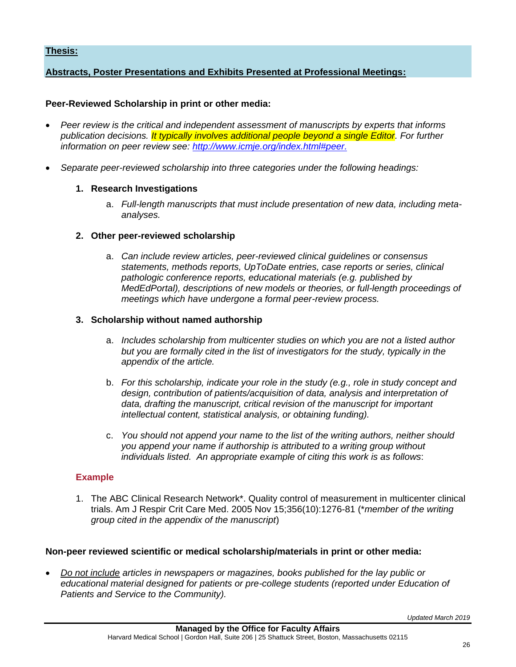### **Thesis:**

## **Abstracts, Poster Presentations and Exhibits Presented at Professional Meetings:**

### **Peer-Reviewed Scholarship in print or other media:**

- *Peer review is the critical and independent assessment of manuscripts by experts that informs publication decisions. It typically involves additional people beyond a single Editor. For further information on peer review see: [http://www.icmje.org/index.html#peer.](http://www.icmje.org/index.html#peer)*
- *Separate peer-reviewed scholarship into three categories under the following headings:*

### **1. Research Investigations**

a. *Full-length manuscripts that must include presentation of new data, including metaanalyses.* 

### **2. Other peer-reviewed scholarship**

a. *Can include review articles, peer-reviewed clinical guidelines or consensus statements, methods reports, UpToDate entries, case reports or series, clinical pathologic conference reports, educational materials (e.g. published by MedEdPortal), descriptions of new models or theories, or full-length proceedings of meetings which have undergone a formal peer-review process.* 

### **3. Scholarship without named authorship**

- a. *Includes scholarship from multicenter studies on which you are not a listed author but you are formally cited in the list of investigators for the study, typically in the appendix of the article.*
- b. *For this scholarship, indicate your role in the study (e.g., role in study concept and*  design, contribution of patients/acquisition of data, analysis and interpretation of *data, drafting the manuscript, critical revision of the manuscript for important intellectual content, statistical analysis, or obtaining funding).*
- c. *You should not append your name to the list of the writing authors, neither should you append your name if authorship is attributed to a writing group without individuals listed. An appropriate example of citing this work is as follows*:

## **Example**

1. The ABC Clinical Research Network\*. Quality control of measurement in multicenter clinical trials. Am J Respir Crit Care Med. 2005 Nov 15;356(10):1276-81 (\**member of the writing group cited in the appendix of the manuscript*)

### **Non-peer reviewed scientific or medical scholarship/materials in print or other media:**

 *Do not include articles in newspapers or magazines, books published for the lay public or educational material designed for patients or pre-college students (reported under Education of Patients and Service to the Community).*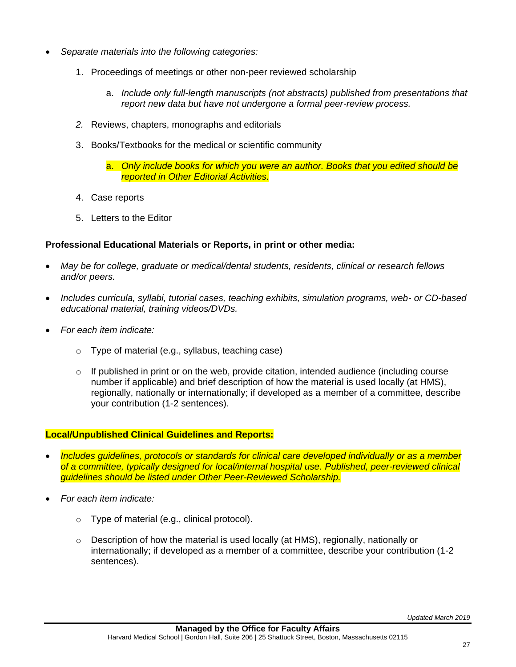- *Separate materials into the following categories:*
	- 1. Proceedings of meetings or other non-peer reviewed scholarship
		- a. *Include only full-length manuscripts (not abstracts) published from presentations that report new data but have not undergone a formal peer-review process.*
	- *2.* Reviews, chapters, monographs and editorials
	- 3. Books/Textbooks for the medical or scientific community

- 4. Case reports
- 5. Letters to the Editor

## **Professional Educational Materials or Reports, in print or other media:**

- *May be for college, graduate or medical/dental students, residents, clinical or research fellows and/or peers.*
- *Includes curricula, syllabi, tutorial cases, teaching exhibits, simulation programs, web- or CD-based educational material, training videos/DVDs.*
- *For each item indicate:*
	- o Type of material (e.g., syllabus, teaching case)
	- $\circ$  If published in print or on the web, provide citation, intended audience (including course number if applicable) and brief description of how the material is used locally (at HMS), regionally, nationally or internationally; if developed as a member of a committee, describe your contribution (1-2 sentences).

# **Local/Unpublished Clinical Guidelines and Reports:**

- *Includes guidelines, protocols or standards for clinical care developed individually or as a member of a committee, typically designed for local/internal hospital use. Published, peer-reviewed clinical guidelines should be listed under Other Peer-Reviewed Scholarship.*
- *For each item indicate:*
	- o Type of material (e.g., clinical protocol).
	- $\circ$  Description of how the material is used locally (at HMS), regionally, nationally or internationally; if developed as a member of a committee, describe your contribution (1-2 sentences).

a. *Only include books for which you were an author. Books that you edited should be reported in Other Editorial Activities.*